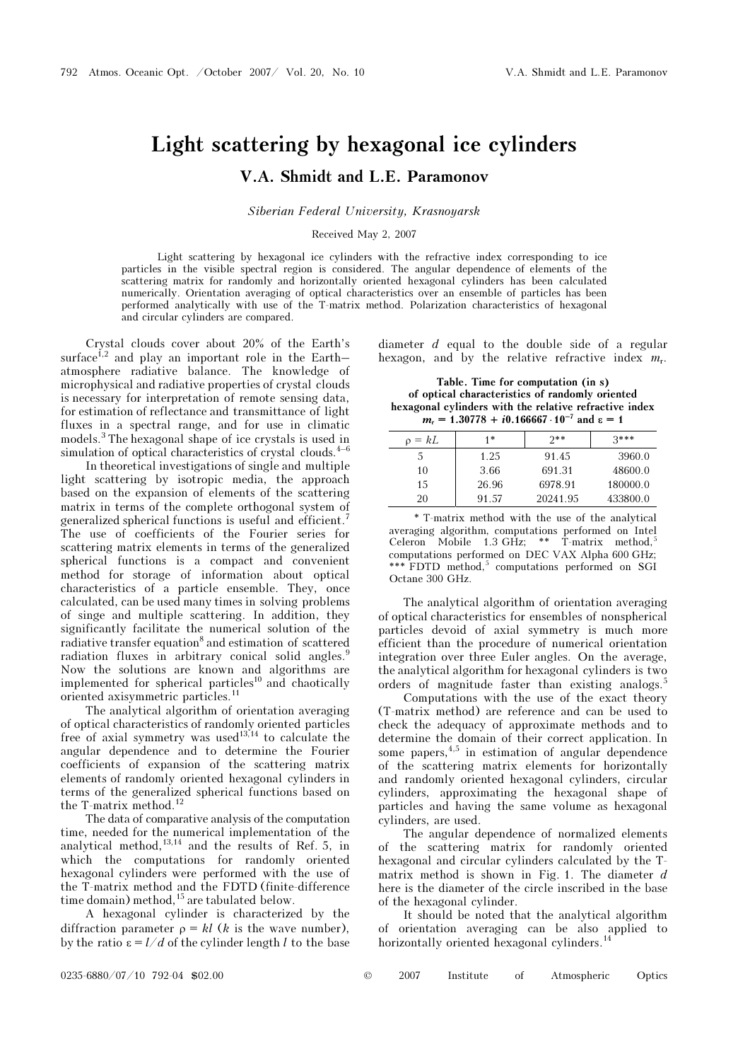## Light scattering by hexagonal ice cylinders V.A. Shmidt and L.E. Paramonov

Siberian Federal University, Krasnoyarsk

## Received May 2, 2007

Light scattering by hexagonal ice cylinders with the refractive index corresponding to ice particles in the visible spectral region is considered. The angular dependence of elements of the scattering matrix for randomly and horizontally oriented hexagonal cylinders has been calculated numerically. Orientation averaging of optical characteristics over an ensemble of particles has been performed analytically with use of the T-matrix method. Polarization characteristics of hexagonal and circular cylinders are compared.

Crystal clouds cover about 20% of the Earth's surface<sup> $1,2$ </sup> and play an important role in the Earth– atmosphere radiative balance. The knowledge of microphysical and radiative properties of crystal clouds is necessary for interpretation of remote sensing data, for estimation of reflectance and transmittance of light fluxes in a spectral range, and for use in climatic models.<sup>3</sup> The hexagonal shape of ice crystals is used in simulation of optical characteristics of crystal clouds. $4-6$ 

 In theoretical investigations of single and multiple light scattering by isotropic media, the approach based on the expansion of elements of the scattering matrix in terms of the complete orthogonal system of generalized spherical functions is useful and efficient.<sup>7</sup> The use of coefficients of the Fourier series for scattering matrix elements in terms of the generalized spherical functions is a compact and convenient method for storage of information about optical characteristics of a particle ensemble. They, once calculated, can be used many times in solving problems of singe and multiple scattering. In addition, they significantly facilitate the numerical solution of the radiative transfer equation<sup>8</sup> and estimation of scattered radiation fluxes in arbitrary conical solid angles.<sup>9</sup> Now the solutions are known and algorithms are implemented for spherical particles<sup>10</sup> and chaotically oriented axisymmetric particles.<sup>11</sup>

The analytical algorithm of orientation averaging of optical characteristics of randomly oriented particles free of axial symmetry was used $13,14$  to calculate the angular dependence and to determine the Fourier coefficients of expansion of the scattering matrix elements of randomly oriented hexagonal cylinders in terms of the generalized spherical functions based on the T-matrix method.<sup>12</sup>

The data of comparative analysis of the computation time, needed for the numerical implementation of the analytical method, $13,14$  and the results of Ref. 5, in which the computations for randomly oriented hexagonal cylinders were performed with the use of the T-matrix method and the FDTD (finite-difference time domain) method,<sup>15</sup> are tabulated below.

A hexagonal cylinder is characterized by the diffraction parameter  $\rho = kl$  (k is the wave number), by the ratio  $\varepsilon = l/d$  of the cylinder length l to the base diameter d equal to the double side of a regular hexagon, and by the relative refractive index  $m_r$ .

Table. Time for computation (in s) of optical characteristics of randomly oriented hexagonal cylinders with the relative refractive index  $m_r = 1.30778 + i0.166667 \cdot 10^{-7}$  and  $\varepsilon = 1$ 

| $o = kL$ | 1*    | $2**$    | $3***$   |
|----------|-------|----------|----------|
|          | 1.25  | 91.45    | 3960.0   |
| 10       | 3.66  | 691.31   | 48600.0  |
| 15       | 26.96 | 6978.91  | 180000.0 |
| 20       | 91.57 | 20241.95 | 433800.0 |

\* T-matrix method with the use of the analytical averaging algorithm, computations performed on Intel Celeron Mobile 1.3 GHz; \*\*  $T$ -matrix method,<sup>5</sup> computations performed on DEC VAX Alpha 600 GHz; \*\*\* FDTD method,<sup>5</sup> computations performed on SGI Octane 300 GHz.

The analytical algorithm of orientation averaging of optical characteristics for ensembles of nonspherical particles devoid of axial symmetry is much more efficient than the procedure of numerical orientation integration over three Euler angles. On the average, the analytical algorithm for hexagonal cylinders is two orders of magnitude faster than existing analogs.<sup>5</sup>

 Computations with the use of the exact theory (T-matrix method) are reference and can be used to check the adequacy of approximate methods and to determine the domain of their correct application. In some papers,  $4,5$  in estimation of angular dependence of the scattering matrix elements for horizontally and randomly oriented hexagonal cylinders, circular cylinders, approximating the hexagonal shape of particles and having the same volume as hexagonal cylinders, are used.

The angular dependence of normalized elements of the scattering matrix for randomly oriented hexagonal and circular cylinders calculated by the Tmatrix method is shown in Fig. 1. The diameter  $d$ here is the diameter of the circle inscribed in the base of the hexagonal cylinder.

It should be noted that the analytical algorithm of orientation averaging can be also applied to horizontally oriented hexagonal cylinders.<sup>1</sup>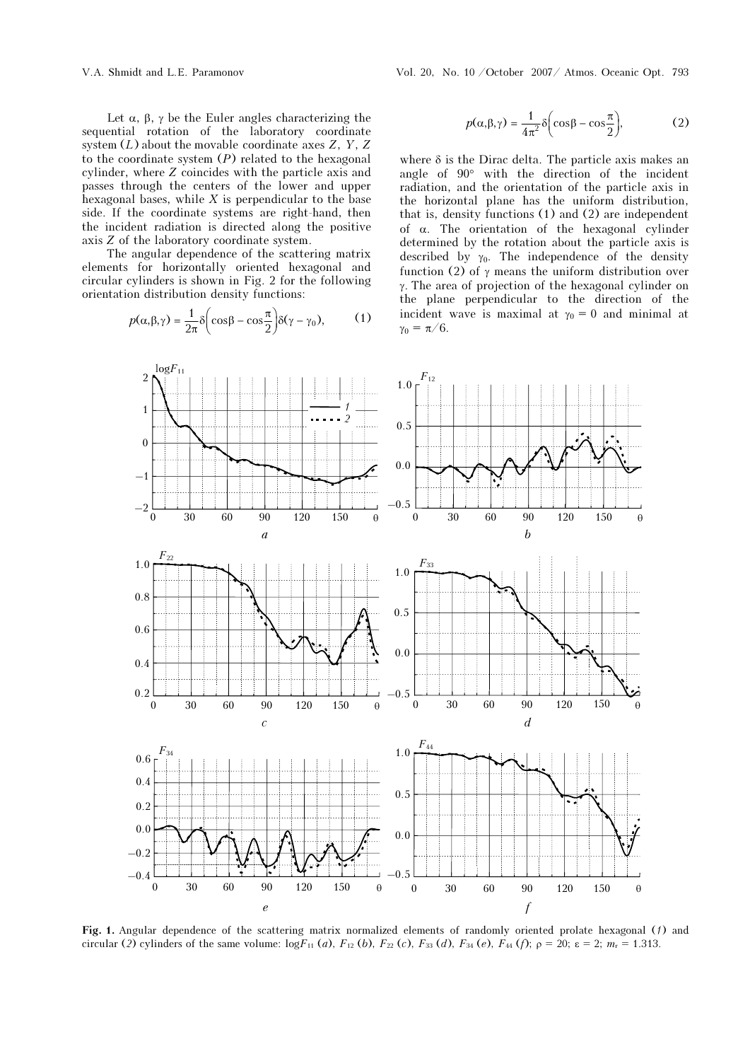Let  $\alpha$ ,  $\beta$ ,  $\gamma$  be the Euler angles characterizing the sequential rotation of the laboratory coordinate system  $(L)$  about the movable coordinate axes Z, Y, Z to the coordinate system  $(P)$  related to the hexagonal cylinder, where Z coincides with the particle axis and passes through the centers of the lower and upper hexagonal bases, while  $X$  is perpendicular to the base side. If the coordinate systems are right-hand, then the incident radiation is directed along the positive axis Z of the laboratory coordinate system.

The angular dependence of the scattering matrix elements for horizontally oriented hexagonal and circular cylinders is shown in Fig. 2 for the following orientation distribution density functions:

$$
p(\alpha, \beta, \gamma) = \frac{1}{2\pi} \delta \left( \cos \beta - \cos \frac{\pi}{2} \right) \delta(\gamma - \gamma_0), \quad (1)
$$

$$
p(\alpha, \beta, \gamma) = \frac{1}{4\pi^2} \delta \left( \cos \beta - \cos \frac{\pi}{2} \right),
$$
 (2)

where  $\delta$  is the Dirac delta. The particle axis makes an angle of 90° with the direction of the incident radiation, and the orientation of the particle axis in the horizontal plane has the uniform distribution, that is, density functions (1) and (2) are independent of α. The orientation of the hexagonal cylinder determined by the rotation about the particle axis is described by  $\gamma_0$ . The independence of the density function (2) of  $\gamma$  means the uniform distribution over γ. The area of projection of the hexagonal cylinder on the plane perpendicular to the direction of the incident wave is maximal at  $\gamma_0 = 0$  and minimal at  $\gamma_0 = \pi/6$ .



Fig. 1. Angular dependence of the scattering matrix normalized elements of randomly oriented prolate hexagonal (1) and circular (2) cylinders of the same volume:  $logF_{11}(a)$ ,  $F_{12}(b)$ ,  $F_{22}(c)$ ,  $F_{33}(d)$ ,  $F_{34}(e)$ ,  $F_{44}(f)$ ;  $\rho = 20$ ;  $\varepsilon = 2$ ;  $m_r = 1.313$ .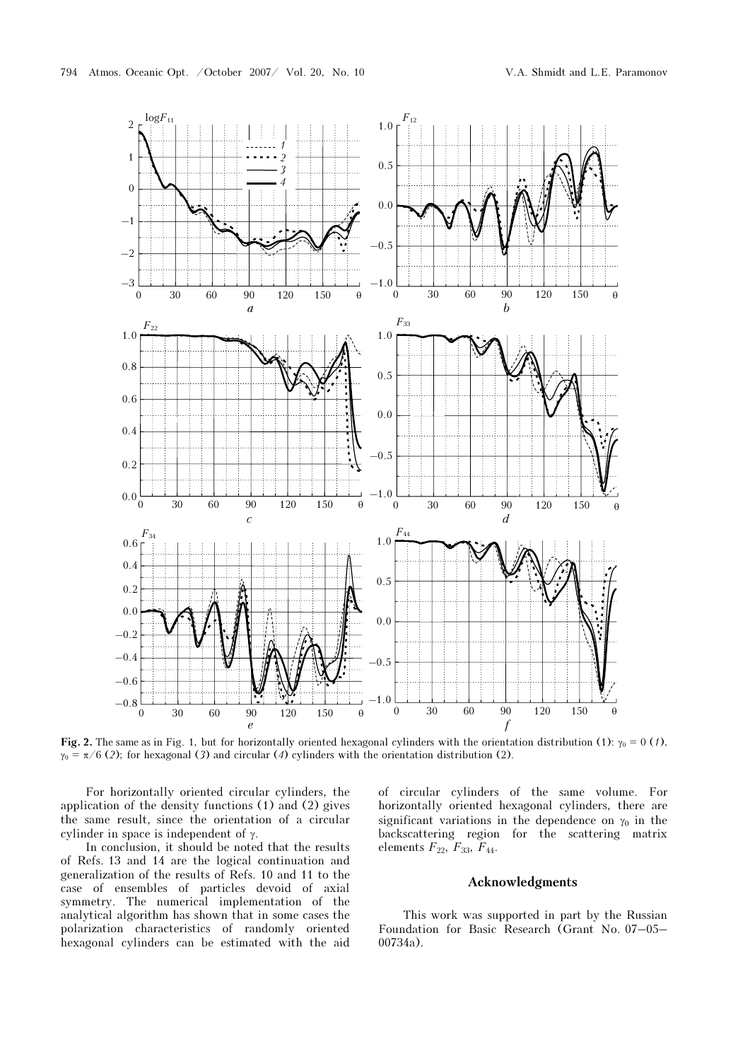

Fig. 2. The same as in Fig. 1, but for horizontally oriented hexagonal cylinders with the orientation distribution (1):  $\gamma_0 = 0$  (1),  $\gamma_0 = \pi/6$  (2); for hexagonal (3) and circular (4) cylinders with the orientation distribution (2).

For horizontally oriented circular cylinders, the application of the density functions (1) and (2) gives the same result, since the orientation of a circular cylinder in space is independent of γ.

In conclusion, it should be noted that the results of Refs. 13 and 14 are the logical continuation and generalization of the results of Refs. 10 and 11 to the case of ensembles of particles devoid of axial symmetry. The numerical implementation of the analytical algorithm has shown that in some cases the polarization characteristics of randomly oriented hexagonal cylinders can be estimated with the aid of circular cylinders of the same volume. For horizontally oriented hexagonal cylinders, there are significant variations in the dependence on  $\gamma_0$  in the backscattering region for the scattering matrix elements  $F_{22}$ ,  $F_{33}$ ,  $F_{44}$ .

## Acknowledgments

This work was supported in part by the Russian Foundation for Basic Research (Grant No. 07–05– 00734a).